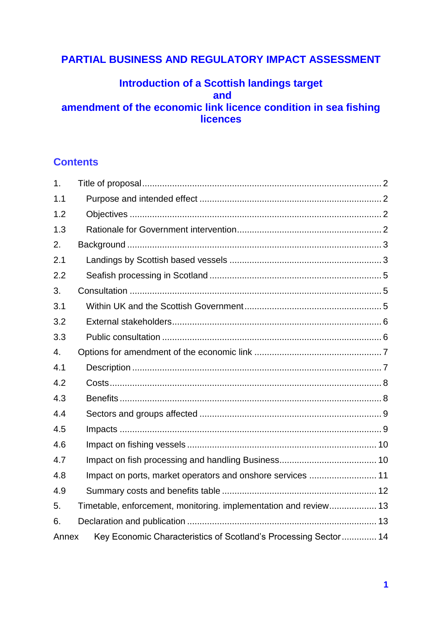# **PARTIAL BUSINESS AND REGULATORY IMPACT ASSESSMENT**

## **Introduction of a Scottish landings target and amendment of the economic link licence condition in sea fishing licences**

## **Contents**

| 1.    |                                                                  |  |
|-------|------------------------------------------------------------------|--|
| 1.1   |                                                                  |  |
| 1.2   |                                                                  |  |
| 1.3   |                                                                  |  |
| 2.    |                                                                  |  |
| 2.1   |                                                                  |  |
| 2.2   |                                                                  |  |
| 3.    |                                                                  |  |
| 3.1   |                                                                  |  |
| 3.2   |                                                                  |  |
| 3.3   |                                                                  |  |
| 4.    |                                                                  |  |
| 4.1   |                                                                  |  |
| 4.2   |                                                                  |  |
| 4.3   |                                                                  |  |
| 4.4   |                                                                  |  |
| 4.5   |                                                                  |  |
| 4.6   |                                                                  |  |
| 4.7   |                                                                  |  |
| 4.8   | Impact on ports, market operators and onshore services  11       |  |
| 4.9   |                                                                  |  |
| 5.    | Timetable, enforcement, monitoring. implementation and review 13 |  |
| 6.    |                                                                  |  |
| Annex | Key Economic Characteristics of Scotland's Processing Sector 14  |  |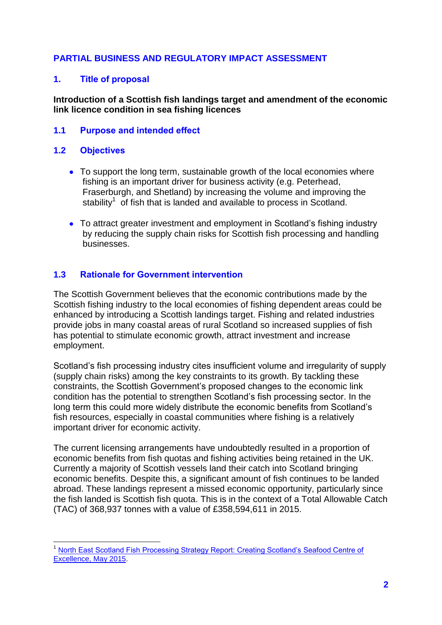## **PARTIAL BUSINESS AND REGULATORY IMPACT ASSESSMENT**

#### <span id="page-1-0"></span>**1. Title of proposal**

#### **Introduction of a Scottish fish landings target and amendment of the economic link licence condition in sea fishing licences**

#### <span id="page-1-1"></span>**1.1 Purpose and intended effect**

#### <span id="page-1-2"></span>**1.2 Objectives**

- To support the long term, sustainable growth of the local economies where fishing is an important driver for business activity (e.g. Peterhead, Fraserburgh, and Shetland) by increasing the volume and improving the stability<sup>1</sup> of fish that is landed and available to process in Scotland.
- To attract greater investment and employment in Scotland's fishing industry by reducing the supply chain risks for Scottish fish processing and handling businesses.

#### <span id="page-1-3"></span>**1.3 Rationale for Government intervention**

The Scottish Government believes that the economic contributions made by the Scottish fishing industry to the local economies of fishing dependent areas could be enhanced by introducing a Scottish landings target. Fishing and related industries provide jobs in many coastal areas of rural Scotland so increased supplies of fish has potential to stimulate economic growth, attract investment and increase employment.

Scotland's fish processing industry cites insufficient volume and irregularity of supply (supply chain risks) among the key constraints to its growth. By tackling these constraints, the Scottish Government's proposed changes to the economic link condition has the potential to strengthen Scotland's fish processing sector. In the long term this could more widely distribute the economic benefits from Scotland's fish resources, especially in coastal communities where fishing is a relatively important driver for economic activity.

The current licensing arrangements have undoubtedly resulted in a proportion of economic benefits from fish quotas and fishing activities being retained in the UK. Currently a majority of Scottish vessels land their catch into Scotland bringing economic benefits. Despite this, a significant amount of fish continues to be landed abroad. These landings represent a missed economic opportunity, particularly since the fish landed is Scottish fish quota. This is in the context of a Total Allowable Catch (TAC) of 368,937 tonnes with a value of £358,594,611 in 2015.

 $\overline{\phantom{a}}$ <sup>1</sup> [North East Scotland Fish Processing Strategy Report: Creating Scotland's Seafood Centre of](https://www.aberdeenshire.gov.uk/media/11621/neprocessingstrategyreport.pdf)  [Excellence, May 2015.](https://www.aberdeenshire.gov.uk/media/11621/neprocessingstrategyreport.pdf)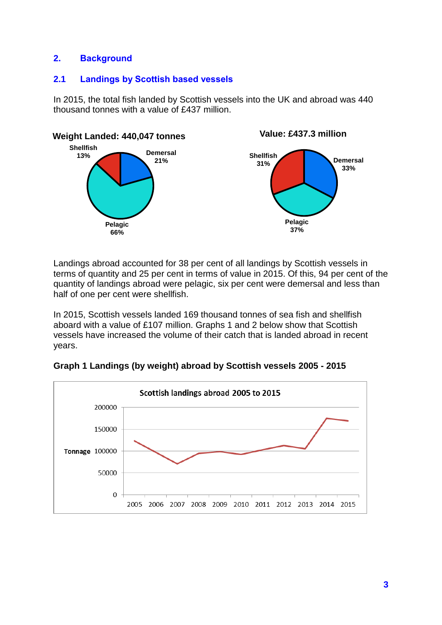## <span id="page-2-0"></span>**2. Background**

## <span id="page-2-1"></span>**2.1 Landings by Scottish based vessels**

In 2015, the total fish landed by Scottish vessels into the UK and abroad was 440 thousand tonnes with a value of £437 million.



Landings abroad accounted for 38 per cent of all landings by Scottish vessels in terms of quantity and 25 per cent in terms of value in 2015. Of this, 94 per cent of the quantity of landings abroad were pelagic, six per cent were demersal and less than half of one per cent were shellfish.

In 2015, Scottish vessels landed 169 thousand tonnes of sea fish and shellfish aboard with a value of £107 million. Graphs 1 and 2 below show that Scottish vessels have increased the volume of their catch that is landed abroad in recent years.

**Graph 1 Landings (by weight) abroad by Scottish vessels 2005 - 2015**

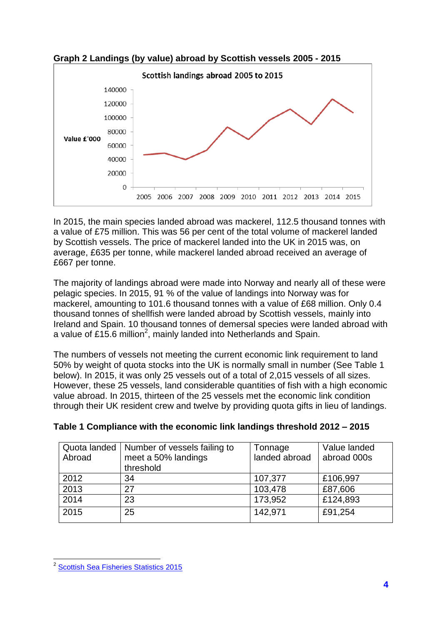

**Graph 2 Landings (by value) abroad by Scottish vessels 2005 - 2015**

In 2015, the main species landed abroad was mackerel, 112.5 thousand tonnes with a value of £75 million. This was 56 per cent of the total volume of mackerel landed by Scottish vessels. The price of mackerel landed into the UK in 2015 was, on average, £635 per tonne, while mackerel landed abroad received an average of £667 per tonne.

The majority of landings abroad were made into Norway and nearly all of these were pelagic species. In 2015, 91 % of the value of landings into Norway was for mackerel, amounting to 101.6 thousand tonnes with a value of £68 million. Only 0.4 thousand tonnes of shellfish were landed abroad by Scottish vessels, mainly into Ireland and Spain. 10 thousand tonnes of demersal species were landed abroad with a value of £15.6 million<sup>2</sup>, mainly landed into Netherlands and Spain.

The numbers of vessels not meeting the current economic link requirement to land 50% by weight of quota stocks into the UK is normally small in number (See Table 1 below). In 2015, it was only 25 vessels out of a total of 2,015 vessels of all sizes. However, these 25 vessels, land considerable quantities of fish with a high economic value abroad. In 2015, thirteen of the 25 vessels met the economic link condition through their UK resident crew and twelve by providing quota gifts in lieu of landings.

| Quota landed<br>Abroad | Number of vessels failing to<br>meet a 50% landings<br>threshold | Tonnage<br>landed abroad | Value landed<br>abroad 000s |
|------------------------|------------------------------------------------------------------|--------------------------|-----------------------------|
| 2012                   | 34                                                               | 107,377                  | £106,997                    |
| 2013                   | 27                                                               | 103,478                  | £87,606                     |
| 2014                   | 23                                                               | 173,952                  | £124,893                    |
| 2015                   | 25                                                               | 142,971                  | £91,254                     |

| Table 1 Compliance with the economic link landings threshold 2012 - 2015 |  |  |  |
|--------------------------------------------------------------------------|--|--|--|
|                                                                          |  |  |  |

<span id="page-3-0"></span><sup>&</sup>lt;u>.</u><br><sup>2</sup> [Scottish Sea Fisheries Statistics 2015](http://www.gov.scot/Publications/2016/09/5110)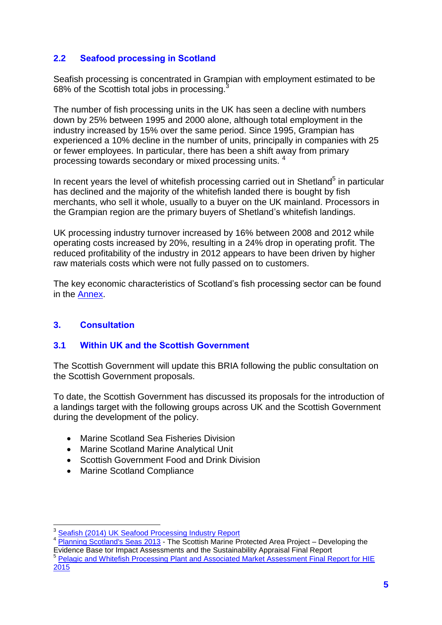## **2.2 Seafood processing in Scotland**

Seafish processing is concentrated in Grampian with employment estimated to be 68% of the Scottish total jobs in processing.<sup>3</sup>

The number of fish processing units in the UK has seen a decline with numbers down by 25% between 1995 and 2000 alone, although total employment in the industry increased by 15% over the same period. Since 1995, Grampian has experienced a 10% decline in the number of units, principally in companies with 25 or fewer employees. In particular, there has been a shift away from primary processing towards secondary or mixed processing units. <sup>4</sup>

In recent years the level of whitefish processing carried out in Shetland<sup>5</sup> in particular has declined and the majority of the whitefish landed there is bought by fish merchants, who sell it whole, usually to a buyer on the UK mainland. Processors in the Grampian region are the primary buyers of Shetland's whitefish landings.

UK processing industry turnover increased by 16% between 2008 and 2012 while operating costs increased by 20%, resulting in a 24% drop in operating profit. The reduced profitability of the industry in 2012 appears to have been driven by higher raw materials costs which were not fully passed on to customers.

The key economic characteristics of Scotland's fish processing sector can be found in the [Annex.](#page-13-0)

## <span id="page-4-0"></span>**3. Consultation**

## <span id="page-4-1"></span>**3.1 Within UK and the Scottish Government**

The Scottish Government will update this BRIA following the public consultation on the Scottish Government proposals.

To date, the Scottish Government has discussed its proposals for the introduction of a landings target with the following groups across UK and the Scottish Government during the development of the policy.

- Marine Scotland Sea Fisheries Division
- Marine Scotland Marine Analytical Unit
- Scottish Government Food and Drink Division
- Marine Scotland Compliance

**<sup>.</sup>** 3 [Seafish \(2014\) UK Seafood Processing Industry Report](http://www.seafish.org/media/publications/2014_Seafood_Processing_Industry_Report.pdf)

<sup>&</sup>lt;sup>4</sup> Planning [Scotland's Seas 2013](http://www.gov.scot/Topics/marine/seamanagement/national/marine-consultation) - The Scottish Marine Protected Area Project – Developing the Evidence Base tor Impact Assessments and the Sustainability Appraisal Final Report

<sup>&</sup>lt;sup>5</sup> Pelagic and Whitefish Processing Plant and Associated Market Assessment Final Report for HIE [2015](http://www.hie.co.uk/regional-information/economic-reports-and-research/archive/shetland--pelagic-and-whitefish-processing-plant-and-associated-market-assessment.html)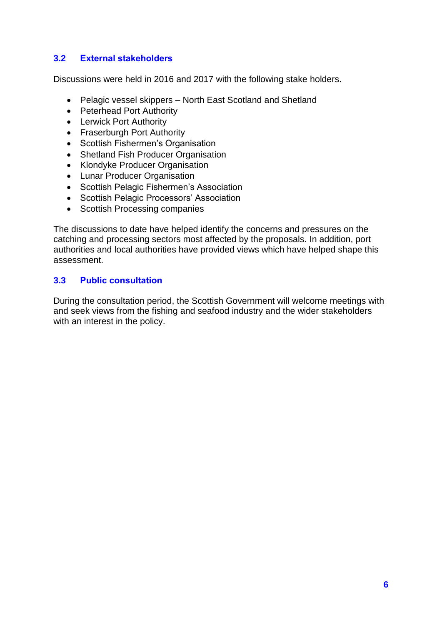## <span id="page-5-0"></span>**3.2 External stakeholders**

Discussions were held in 2016 and 2017 with the following stake holders.

- Pelagic vessel skippers North East Scotland and Shetland
- Peterhead Port Authority
- Lerwick Port Authority
- Fraserburgh Port Authority
- Scottish Fishermen's Organisation
- Shetland Fish Producer Organisation
- Klondyke Producer Organisation
- Lunar Producer Organisation
- Scottish Pelagic Fishermen's Association
- **•** Scottish Pelagic Processors' Association
- Scottish Processing companies

The discussions to date have helped identify the concerns and pressures on the catching and processing sectors most affected by the proposals. In addition, port authorities and local authorities have provided views which have helped shape this assessment.

#### <span id="page-5-1"></span>**3.3 Public consultation**

During the consultation period, the Scottish Government will welcome meetings with and seek views from the fishing and seafood industry and the wider stakeholders with an interest in the policy.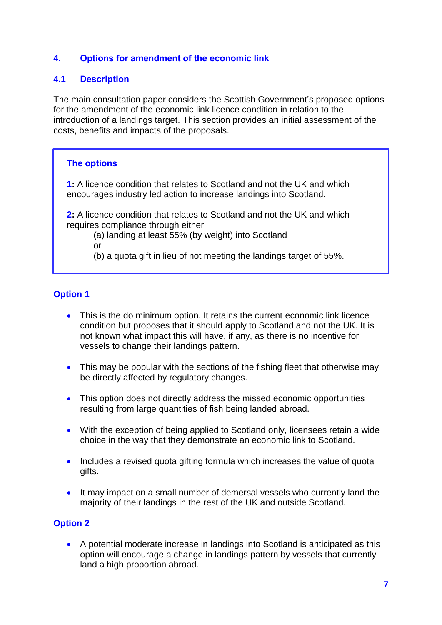## <span id="page-6-0"></span>**4. Options for amendment of the economic link**

#### <span id="page-6-1"></span>**4.1 Description**

The main consultation paper considers the Scottish Government's proposed options for the amendment of the economic link licence condition in relation to the introduction of a landings target. This section provides an initial assessment of the costs, benefits and impacts of the proposals.

#### **The options**

**1:** A licence condition that relates to Scotland and not the UK and which encourages industry led action to increase landings into Scotland.

**2:** A licence condition that relates to Scotland and not the UK and which requires compliance through either

(a) landing at least 55% (by weight) into Scotland

or

(b) a quota gift in lieu of not meeting the landings target of 55%.

## **Option 1**

- This is the do minimum option. It retains the current economic link licence condition but proposes that it should apply to Scotland and not the UK. It is not known what impact this will have, if any, as there is no incentive for vessels to change their landings pattern.
- This may be popular with the sections of the fishing fleet that otherwise may be directly affected by regulatory changes.
- This option does not directly address the missed economic opportunities resulting from large quantities of fish being landed abroad.
- With the exception of being applied to Scotland only, licensees retain a wide choice in the way that they demonstrate an economic link to Scotland.
- Includes a revised quota gifting formula which increases the value of quota gifts.
- It may impact on a small number of demersal vessels who currently land the majority of their landings in the rest of the UK and outside Scotland.

## **Option 2**

 A potential moderate increase in landings into Scotland is anticipated as this option will encourage a change in landings pattern by vessels that currently land a high proportion abroad.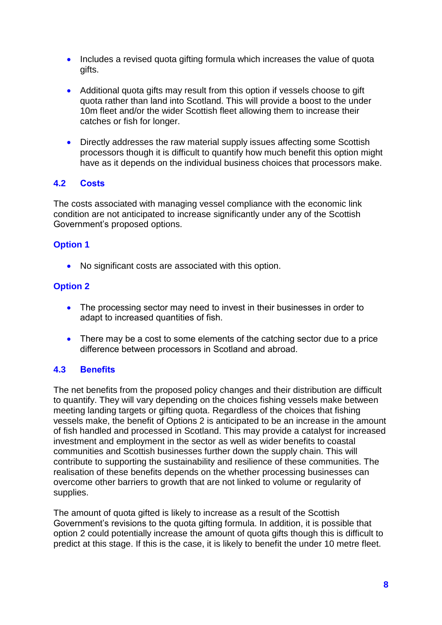- Includes a revised quota gifting formula which increases the value of quota gifts.
- Additional quota gifts may result from this option if vessels choose to gift quota rather than land into Scotland. This will provide a boost to the under 10m fleet and/or the wider Scottish fleet allowing them to increase their catches or fish for longer.
- Directly addresses the raw material supply issues affecting some Scottish processors though it is difficult to quantify how much benefit this option might have as it depends on the individual business choices that processors make.

## <span id="page-7-0"></span>**4.2 Costs**

The costs associated with managing vessel compliance with the economic link condition are not anticipated to increase significantly under any of the Scottish Government's proposed options.

#### **Option 1**

No significant costs are associated with this option.

#### **Option 2**

- The processing sector may need to invest in their businesses in order to adapt to increased quantities of fish.
- There may be a cost to some elements of the catching sector due to a price difference between processors in Scotland and abroad.

## <span id="page-7-1"></span>**4.3 Benefits**

The net benefits from the proposed policy changes and their distribution are difficult to quantify. They will vary depending on the choices fishing vessels make between meeting landing targets or gifting quota. Regardless of the choices that fishing vessels make, the benefit of Options 2 is anticipated to be an increase in the amount of fish handled and processed in Scotland. This may provide a catalyst for increased investment and employment in the sector as well as wider benefits to coastal communities and Scottish businesses further down the supply chain. This will contribute to supporting the sustainability and resilience of these communities. The realisation of these benefits depends on the whether processing businesses can overcome other barriers to growth that are not linked to volume or regularity of supplies.

The amount of quota gifted is likely to increase as a result of the Scottish Government's revisions to the quota gifting formula. In addition, it is possible that option 2 could potentially increase the amount of quota gifts though this is difficult to predict at this stage. If this is the case, it is likely to benefit the under 10 metre fleet.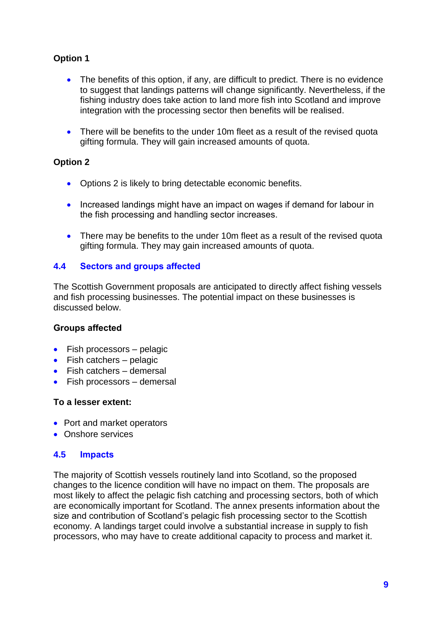## **Option 1**

- The benefits of this option, if any, are difficult to predict. There is no evidence to suggest that landings patterns will change significantly. Nevertheless, if the fishing industry does take action to land more fish into Scotland and improve integration with the processing sector then benefits will be realised.
- There will be benefits to the under 10m fleet as a result of the revised quota gifting formula. They will gain increased amounts of quota.

#### **Option 2**

- Options 2 is likely to bring detectable economic benefits.
- Increased landings might have an impact on wages if demand for labour in the fish processing and handling sector increases.
- There may be benefits to the under 10m fleet as a result of the revised quota gifting formula. They may gain increased amounts of quota.

#### <span id="page-8-0"></span>**4.4 Sectors and groups affected**

The Scottish Government proposals are anticipated to directly affect fishing vessels and fish processing businesses. The potential impact on these businesses is discussed below.

#### **Groups affected**

- $\bullet$  Fish processors pelagic
- $\bullet$  Fish catchers pelagic
- Fish catchers demersal
- Fish processors demersal

#### **To a lesser extent:**

- Port and market operators
- **Conshore services**

#### <span id="page-8-1"></span>**4.5 Impacts**

The majority of Scottish vessels routinely land into Scotland, so the proposed changes to the licence condition will have no impact on them. The proposals are most likely to affect the pelagic fish catching and processing sectors, both of which are economically important for Scotland. The annex presents information about the size and contribution of Scotland's pelagic fish processing sector to the Scottish economy. A landings target could involve a substantial increase in supply to fish processors, who may have to create additional capacity to process and market it.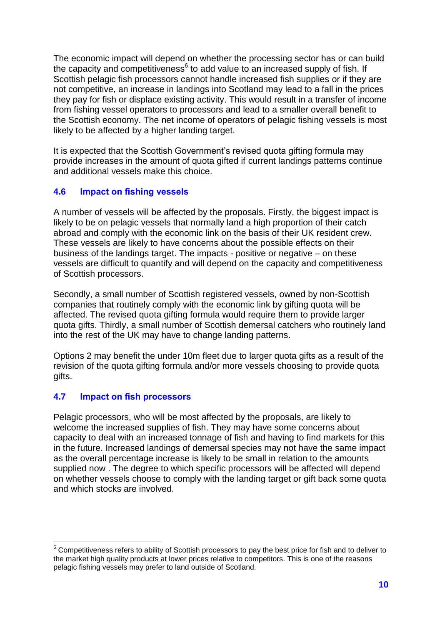The economic impact will depend on whether the processing sector has or can build the capacity and competitiveness $6$  to add value to an increased supply of fish. If Scottish pelagic fish processors cannot handle increased fish supplies or if they are not competitive, an increase in landings into Scotland may lead to a fall in the prices they pay for fish or displace existing activity. This would result in a transfer of income from fishing vessel operators to processors and lead to a smaller overall benefit to the Scottish economy. The net income of operators of pelagic fishing vessels is most likely to be affected by a higher landing target.

It is expected that the Scottish Government's revised quota gifting formula may provide increases in the amount of quota gifted if current landings patterns continue and additional vessels make this choice.

## <span id="page-9-0"></span>**4.6 Impact on fishing vessels**

A number of vessels will be affected by the proposals. Firstly, the biggest impact is likely to be on pelagic vessels that normally land a high proportion of their catch abroad and comply with the economic link on the basis of their UK resident crew. These vessels are likely to have concerns about the possible effects on their business of the landings target. The impacts - positive or negative – on these vessels are difficult to quantify and will depend on the capacity and competitiveness of Scottish processors.

Secondly, a small number of Scottish registered vessels, owned by non-Scottish companies that routinely comply with the economic link by gifting quota will be affected. The revised quota gifting formula would require them to provide larger quota gifts. Thirdly, a small number of Scottish demersal catchers who routinely land into the rest of the UK may have to change landing patterns.

Options 2 may benefit the under 10m fleet due to larger quota gifts as a result of the revision of the quota gifting formula and/or more vessels choosing to provide quota gifts.

## <span id="page-9-1"></span>**4.7 Impact on fish processors**

Pelagic processors, who will be most affected by the proposals, are likely to welcome the increased supplies of fish. They may have some concerns about capacity to deal with an increased tonnage of fish and having to find markets for this in the future. Increased landings of demersal species may not have the same impact as the overall percentage increase is likely to be small in relation to the amounts supplied now . The degree to which specific processors will be affected will depend on whether vessels choose to comply with the landing target or gift back some quota and which stocks are involved.

 $\overline{\phantom{a}}$  $6$  Competitiveness refers to ability of Scottish processors to pay the best price for fish and to deliver to the market high quality products at lower prices relative to competitors. This is one of the reasons pelagic fishing vessels may prefer to land outside of Scotland.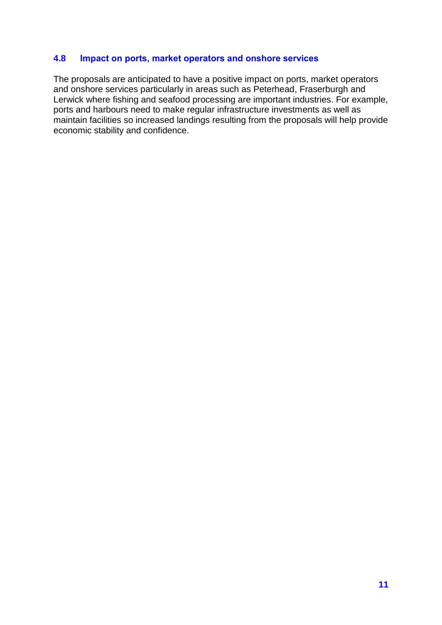#### <span id="page-10-0"></span>**4.8 Impact on ports, market operators and onshore services**

The proposals are anticipated to have a positive impact on ports, market operators and onshore services particularly in areas such as Peterhead, Fraserburgh and Lerwick where fishing and seafood processing are important industries. For example, ports and harbours need to make regular infrastructure investments as well as maintain facilities so increased landings resulting from the proposals will help provide economic stability and confidence.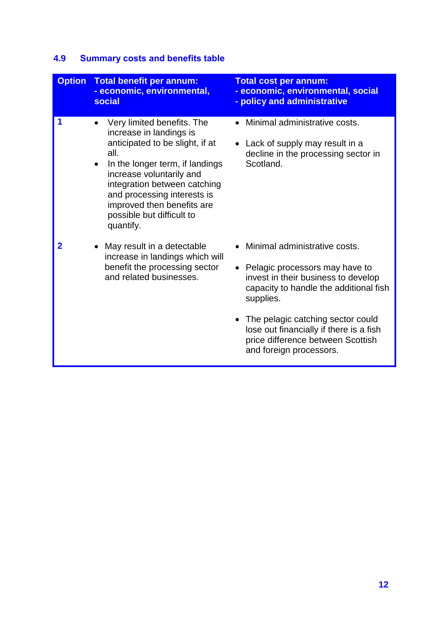# **4.9 Summary costs and benefits table**

| <b>Option</b> | <b>Total benefit per annum:</b><br>- economic, environmental,<br>social                                                                                                                                                                                                                                                          | <b>Total cost per annum:</b><br>- economic, environmental, social<br>- policy and administrative                                                                                                                                                                                                              |
|---------------|----------------------------------------------------------------------------------------------------------------------------------------------------------------------------------------------------------------------------------------------------------------------------------------------------------------------------------|---------------------------------------------------------------------------------------------------------------------------------------------------------------------------------------------------------------------------------------------------------------------------------------------------------------|
| 1             | Very limited benefits. The<br>$\bullet$<br>increase in landings is<br>anticipated to be slight, if at<br>all.<br>In the longer term, if landings<br>$\bullet$<br>increase voluntarily and<br>integration between catching<br>and processing interests is<br>improved then benefits are<br>possible but difficult to<br>quantify. | Minimal administrative costs.<br>Lack of supply may result in a<br>decline in the processing sector in<br>Scotland.                                                                                                                                                                                           |
| 2             | May result in a detectable<br>increase in landings which will<br>benefit the processing sector<br>and related businesses.                                                                                                                                                                                                        | Minimal administrative costs.<br>Pelagic processors may have to<br>invest in their business to develop<br>capacity to handle the additional fish<br>supplies.<br>The pelagic catching sector could<br>lose out financially if there is a fish<br>price difference between Scottish<br>and foreign processors. |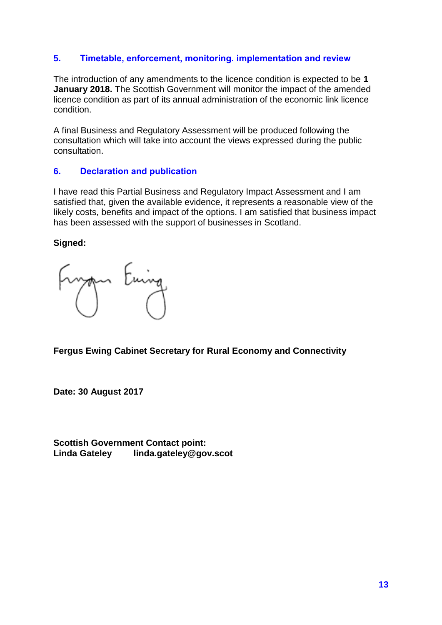## <span id="page-12-0"></span>**5. Timetable, enforcement, monitoring. implementation and review**

The introduction of any amendments to the licence condition is expected to be **1 January 2018.** The Scottish Government will monitor the impact of the amended licence condition as part of its annual administration of the economic link licence condition.

A final Business and Regulatory Assessment will be produced following the consultation which will take into account the views expressed during the public consultation.

## <span id="page-12-1"></span>**6. Declaration and publication**

I have read this Partial Business and Regulatory Impact Assessment and I am satisfied that, given the available evidence, it represents a reasonable view of the likely costs, benefits and impact of the options. I am satisfied that business impact has been assessed with the support of businesses in Scotland.

**Signed:**

Euing

**Fergus Ewing Cabinet Secretary for Rural Economy and Connectivity**

**Date: 30 August 2017**

**Scottish Government Contact point: Linda Gateley linda.gateley@gov.scot**